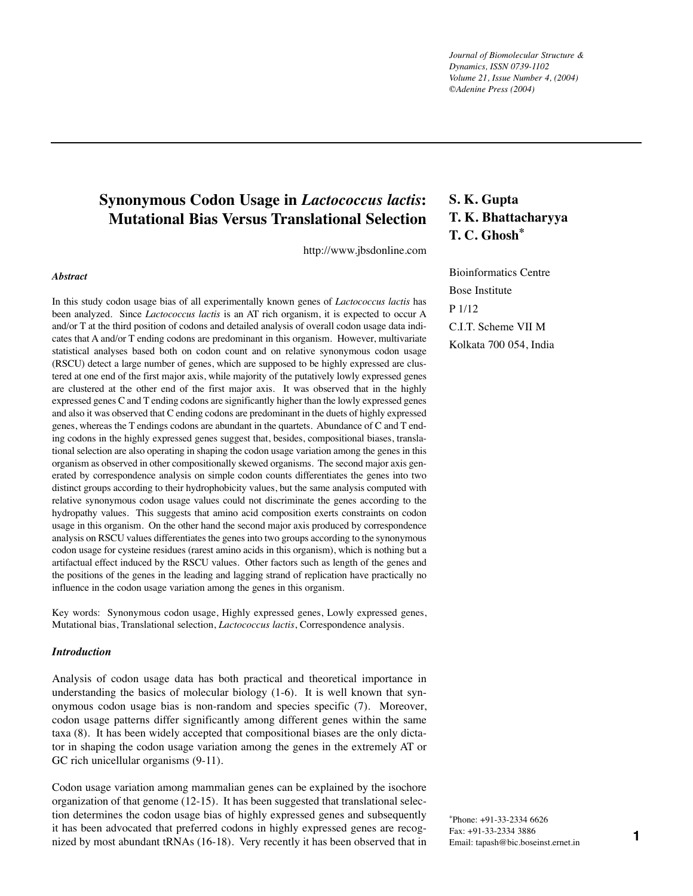*Journal of Biomolecular Structure & Dynamics, ISSN 0739-1102 Volume 21, Issue Number 4, (2004) ©Adenine Press (2004)*

# **Synonymous Codon Usage in** *Lactococcus lactis***: Mutational Bias Versus Translational Selection**

http://www.jbsdonline.com

### *Abstract*

In this study codon usage bias of all experimentally known genes of *Lactococcus lactis* has been analyzed. Since *Lactococcus lactis* is an ATrich organism, it is expected to occur A and/or Tat the third position of codons and detailed analysis of overall codon usage data indicates that A and/or Tending codons are predominant in this organism. However, multivariate statistical analyses based both on codon count and on relative synonymous codon usage (RSCU) detect a large number of genes, which are supposed to be highly expressed are clustered at one end of the first major axis, while majority of the putatively lowly expressed genes are clustered at the other end of the first major axis. It was observed that in the highly expressed genes C and Tending codons are significantly higher than the lowly expressed genes and also it was observed that C ending codons are predominant in the duets of highly expressed genes, whereas the Tendings codons are abundant in the quartets. Abundance of C and Tending codons in the highly expressed genes suggest that, besides, compositional biases, translational selection are also operating in shaping the codon usage variation among the genes in this organism as observed in other compositionally skewed organisms. The second major axis generated by correspondence analysis on simple codon counts differentiates the genes into two distinct groups according to their hydrophobicity values, but the same analysis computed with relative synonymous codon usage values could not discriminate the genes according to the hydropathy values. This suggests that amino acid composition exerts constraints on codon usage in this organism. On the other hand the second major axis produced by correspondence analysis on RSCU values differentiates the genes into two groups according to the synonymous codon usage for cysteine residues (rarest amino acids in this organism), which is nothing but a artifactual effect induced by the RSCU values. Other factors such as length of the genes and the positions of the genes in the leading and lagging strand of replication have practically no influence in the codon usage variation among the genes in this organism.

Key words: Synonymous codon usage, Highly expressed genes, Lowly expressed genes, Mutational bias, Translational selection, *Lactococcus lactis*, Correspondence analysis.

## *Introduction*

Analysis of codon usage data has both practical and theoretical importance in understanding the basics of molecular biology (1-6). It is well known that synonymous codon usage bias is non-random and species specific (7). Moreover, codon usage patterns differ significantly among different genes within the same taxa (8). It has been widely accepted that compositional biases are the only dictator in shaping the codon usage variation among the genes in the extremely ATor GC rich unicellular organisms (9-11).

Codon usage variation among mammalian genes can be explained by the isochore organization of that genome (12-15). It has been suggested that translational selection determines the codon usage bias of highly expressed genes and subsequently it has been advocated that preferred codons in highly expressed genes are recognized by most abundant tRNAs (16-18). Very recently it has been observed that in

# **S. K. Gupta T. K. Bhattacharyya T. C. Ghosh\***

Bioinformatics Centre Bose Institute P 1/12 C.I.T. Scheme VII M Kolkata 700 054, India

\*Phone: +91-33-2334 6626 Fax: +91-33-2334 3886 Email: tapash@bic.boseinst.ernet.in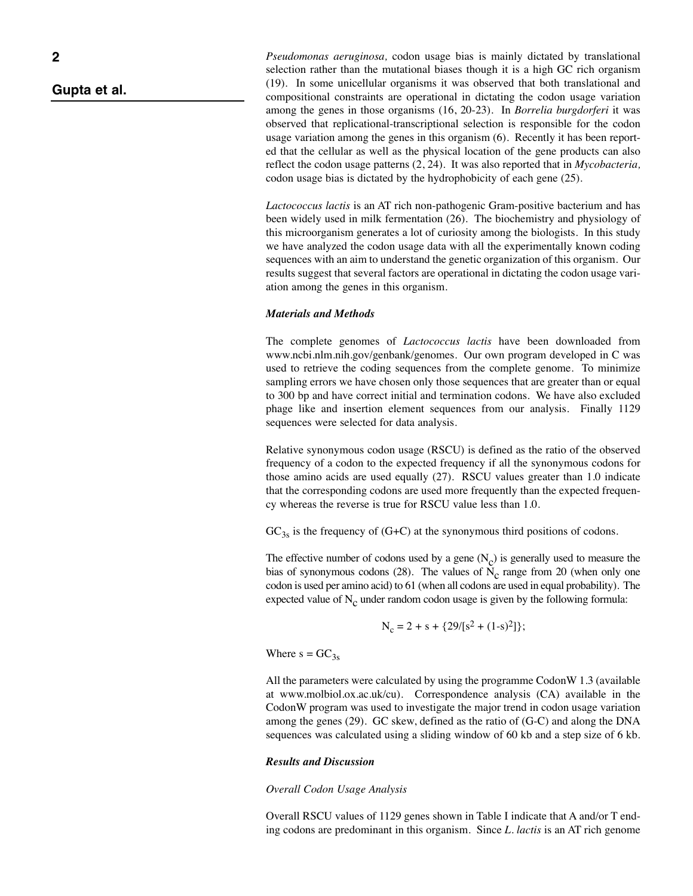## *Gupta et al.*

*Pseudomonas aeruginosa,* codon usage bias is mainly dictated by translational selection rather than the mutational biases though it is a high GC rich organism (19). In some unicellular organisms it was observed that both translational and compositional constraints are operational in dictating the codon usage variation among the genes in those organisms (16, 20-23). In *Borrelia burgdorferi* it was observed that replicational-transcriptional selection is responsible for the codon usage variation among the genes in this organism (6). Recently it has been reported that the cellular as well as the physical location of the gene products can also reflect the codon usage patterns (2, 24). It was also reported that in *Mycobacteria,* codon usage bias is dictated by the hydrophobicity of each gene (25).

*Lactococcus lactis* is an AT rich non-pathogenic Gram-positive bacterium and has been widely used in milk fermentation (26). The biochemistry and physiology of this microorganism generates a lot of curiosity among the biologists. In this study we have analyzed the codon usage data with all the experimentally known coding sequences with an aim to understand the genetic organization of this organism. Our results suggest that several factors are operational in dictating the codon usage variation among the genes in this organism.

### *Materials and Methods*

The complete genomes of *Lactococcus lactis* have been downloaded from www.ncbi.nlm.nih.gov/genbank/genomes. Our own program developed in C was used to retrieve the coding sequences from the complete genome. To minimize sampling errors we have chosen only those sequences that are greater than or equal to 300 bp and have correct initial and termination codons. We have also excluded phage like and insertion element sequences from our analysis. Finally 1129 sequences were selected for data analysis.

Relative synonymous codon usage (RSCU) is defined as the ratio of the observed frequency of a codon to the expected frequency if all the synonymous codons for those amino acids are used equally (27). RSCU values greater than 1.0 indicate that the corresponding codons are used more frequently than the expected frequency whereas the reverse is true for RSCU value less than 1.0.

 $GC<sub>3s</sub>$  is the frequency of (G+C) at the synonymous third positions of codons.

The effective number of codons used by a gene  $(N_c)$  is generally used to measure the bias of synonymous codons (28). The values of  $\overline{N}_c$  range from 20 (when only one codon is used per amino acid) to 61 (when all codons are used in equal probability). The expected value of  $N_c$  under random codon usage is given by the following formula:

$$
N_c = 2 + s + \{29/[s^2 + (1-s)^2]\};
$$

Where  $s = GC_{3s}$ 

All the parameters were calculated by using the programme CodonW 1.3 (available at www.molbiol.ox.ac.uk/cu). Correspondence analysis (CA) available in the CodonW program was used to investigate the major trend in codon usage variation among the genes (29). GC skew, defined as the ratio of (G-C) and along the DNA sequences was calculated using a sliding window of 60 kb and a step size of 6 kb.

### *Results and Discussion*

### *Overall Codon Usage Analysis*

Overall RSCU values of 1129 genes shown in Table I indicate that A and/or T ending codons are predominant in this organism. Since *L. lactis* is an ATrich genome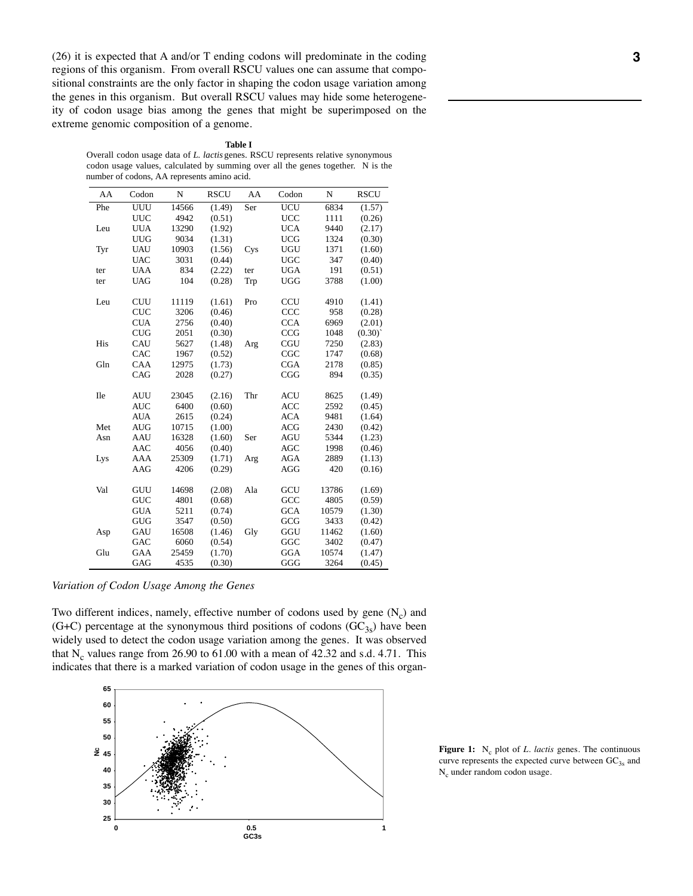$(26)$  it is expected that A and/or T ending codons will predominate in the coding regions of this organism. From overall RSCU values one can assume that compositional constraints are the only factor in shaping the codon usage variation among the genes in this organism. But overall RSCU values may hide some heterogeneity of codon usage bias among the genes that might be superimposed on the extreme genomic composition of a genome.

#### **Table I**

Overall codon usage data of *L. lactis* genes. RSCU represents relative synonymous codon usage values, calculated by summing over all the genes together. N is the number of codons, AA represents amino acid.

| AA         | Codon      | N     | <b>RSCU</b> | AA  | Codon      | N     | <b>RSCU</b> |
|------------|------------|-------|-------------|-----|------------|-------|-------------|
| Phe        | UUU        | 14566 | (1.49)      | Ser | <b>UCU</b> | 6834  | (1.57)      |
|            | <b>UUC</b> | 4942  | (0.51)      |     | <b>UCC</b> | 1111  | (0.26)      |
| Leu        | <b>UUA</b> | 13290 | (1.92)      |     | <b>UCA</b> | 9440  | (2.17)      |
|            | <b>UUG</b> | 9034  | (1.31)      |     | <b>UCG</b> | 1324  | (0.30)      |
| Tyr        | <b>UAU</b> | 10903 | (1.56)      | Cys | <b>UGU</b> | 1371  | (1.60)      |
|            | <b>UAC</b> | 3031  | (0.44)      |     | <b>UGC</b> | 347   | (0.40)      |
| ter        | <b>UAA</b> | 834   | (2.22)      | ter | <b>UGA</b> | 191   | (0.51)      |
| ter        | <b>UAG</b> | 104   | (0.28)      | Trp | <b>UGG</b> | 3788  | (1.00)      |
| Leu        | <b>CUU</b> | 11119 | (1.61)      | Pro | <b>CCU</b> | 4910  | (1.41)      |
|            | <b>CUC</b> | 3206  | (0.46)      |     | CCC        | 958   | (0.28)      |
|            | <b>CUA</b> | 2756  | (0.40)      |     | <b>CCA</b> | 6969  | (2.01)      |
|            | <b>CUG</b> | 2051  | (0.30)      |     | <b>CCG</b> | 1048  | (0.30)      |
| His        | CAU        | 5627  | (1.48)      | Arg | CGU        | 7250  | (2.83)      |
|            | CAC        | 1967  | (0.52)      |     | CGC        | 1747  | (0.68)      |
| Gln        | CAA        | 12975 | (1.73)      |     | <b>CGA</b> | 2178  | (0.85)      |
|            | CAG        | 2028  | (0.27)      |     | CGG        | 894   | (0.35)      |
| <b>Ile</b> | <b>AUU</b> | 23045 | (2.16)      | Thr | ACU        | 8625  | (1.49)      |
|            | <b>AUC</b> | 6400  | (0.60)      |     | <b>ACC</b> | 2592  | (0.45)      |
|            | <b>AUA</b> | 2615  | (0.24)      |     | <b>ACA</b> | 9481  | (1.64)      |
| Met        | <b>AUG</b> | 10715 | (1.00)      |     | <b>ACG</b> | 2430  | (0.42)      |
| Asn        | AAU        | 16328 | (1.60)      | Ser | <b>AGU</b> | 5344  | (1.23)      |
|            | <b>AAC</b> | 4056  | (0.40)      |     | <b>AGC</b> | 1998  | (0.46)      |
| Lys        | AAA        | 25309 | (1.71)      | Arg | AGA        | 2889  | (1.13)      |
|            | AAG        | 4206  | (0.29)      |     | <b>AGG</b> | 420   | (0.16)      |
| Val        | GUU        | 14698 | (2.08)      | Ala | GCU        | 13786 | (1.69)      |
|            | <b>GUC</b> | 4801  | (0.68)      |     | GCC        | 4805  | (0.59)      |
|            | <b>GUA</b> | 5211  | (0.74)      |     | <b>GCA</b> | 10579 | (1.30)      |
|            | <b>GUG</b> | 3547  | (0.50)      |     | GCG        | 3433  | (0.42)      |
| Asp        | GAU        | 16508 | (1.46)      | Gly | GGU        | 11462 | (1.60)      |
|            | GAC        | 6060  | (0.54)      |     | GGC        | 3402  | (0.47)      |
| Glu        | GAA        | 25459 | (1.70)      |     | <b>GGA</b> | 10574 | (1.47)      |
|            | GAG        | 4535  | (0.30)      |     | GGG        | 3264  | (0.45)      |

*Variation of Codon Usage Among the Genes*

Two different indices, namely, effective number of codons used by gene  $(N_c)$  and (G+C) percentage at the synonymous third positions of codons  $(GC_{3s})$  have been widely used to detect the codon usage variation among the genes. It was observed that  $N_c$  values range from 26.90 to 61.00 with a mean of 42.32 and s.d. 4.71. This indicates that there is a marked variation of codon usage in the genes of this organ-



**Figure 1:** N<sub>c</sub> plot of *L. lactis* genes. The continuous curve represents the expected curve between  $GC_{3s}$  and N<sub>c</sub> under random codon usage.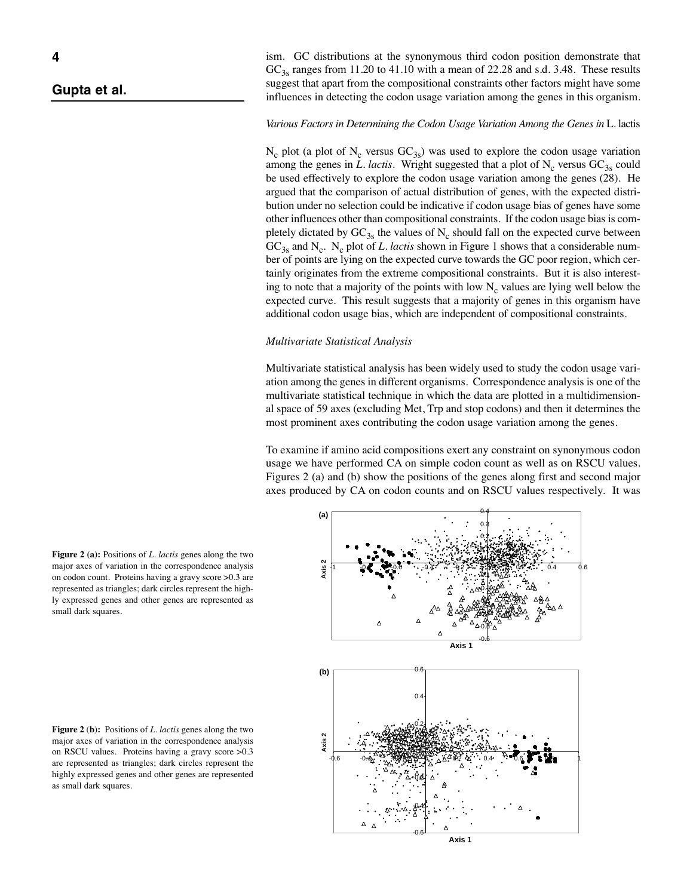### *Gupta et al.*

ism. GC distributions at the synonymous third codon position demonstrate that  $GC<sub>3s</sub>$  ranges from 11.20 to 41.10 with a mean of 22.28 and s.d. 3.48. These results suggest that apart from the compositional constraints other factors might have some influences in detecting the codon usage variation among the genes in this organism.

## *Various Factors in Determining the Codon Usage Variation Among the Genes in* L. lactis

 $N_c$  plot (a plot of  $N_c$  versus  $GC_{3s}$ ) was used to explore the codon usage variation among the genes in *L. lactis*. Wright suggested that a plot of  $N_c$  versus  $GC_{3s}$  could be used effectively to explore the codon usage variation among the genes (28). He argued that the comparison of actual distribution of genes, with the expected distribution under no selection could be indicative if codon usage bias of genes have some other influences other than compositional constraints. If the codon usage bias is completely dictated by  $GC_{3s}$  the values of N<sub>c</sub> should fall on the expected curve between  $GC<sub>3s</sub>$  and N<sub>c</sub>. N<sub>c</sub> plot of *L. lactis* shown in Figure 1 shows that a considerable number of points are lying on the expected curve towards the GC poor region, which certainly originates from the extreme compositional constraints. But it is also interesting to note that a majority of the points with low  $N_c$  values are lying well below the expected curve. This result suggests that a majority of genes in this organism have additional codon usage bias, which are independent of compositional constraints.

### *Multivariate Statistical Analysis*

Multivariate statistical analysis has been widely used to study the codon usage variation among the genes in different organisms. Correspondence analysis is one of the multivariate statistical technique in which the data are plotted in a multidimensional space of 59 axes (excluding Met, Trp and stop codons) and then it determines the most prominent axes contributing the codon usage variation among the genes.

To examine if amino acid compositions exert any constraint on synonymous codon usage we have performed CA on simple codon count as well as on RSCU values. Figures 2 (a) and (b) show the positions of the genes along first and second major axes produced by CA on codon counts and on RSCU values respectively. It was



**Figure 2 (a):** Positions of *L. lactis* genes along the two major axes of variation in the correspondence analysis on codon count. Proteins having a gravy score >0.3 are represented as triangles; dark circles represent the highly expressed genes and other genes are represented as small dark squares.

**Figure 2** (**b**)**:** Positions of *L. lactis* genes along the two major axes of variation in the correspondence analysis on RSCU values. Proteins having a gravy score >0.3 are represented as triangles; dark circles represent the highly expressed genes and other genes are represented as small dark squares.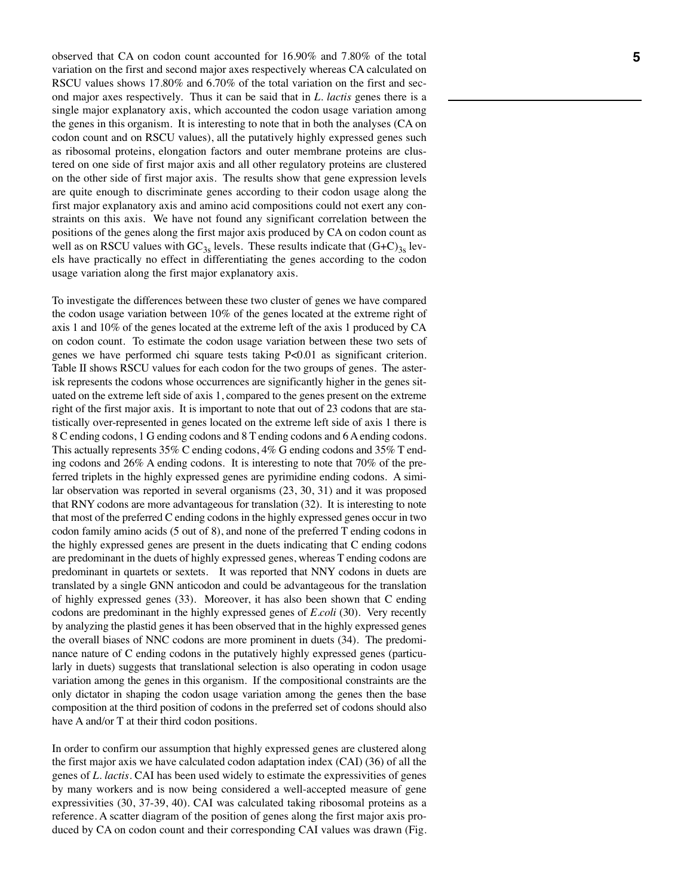observed that CA on codon count accounted for 16.90% and 7.80% of the total variation on the first and second major axes respectively whereas CA calculated on RSCU values shows 17.80% and 6.70% of the total variation on the first and second major axes respectively. Thus it can be said that in *L. lactis* genes there is a single major explanatory axis, which accounted the codon usage variation among the genes in this organism. It is interesting to note that in both the analyses (CA on codon count and on RSCU values), all the putatively highly expressed genes such as ribosomal proteins, elongation factors and outer membrane proteins are clustered on one side of first major axis and all other regulatory proteins are clustered on the other side of first major axis. The results show that gene expression levels are quite enough to discriminate genes according to their codon usage along the first major explanatory axis and amino acid compositions could not exert any constraints on this axis. We have not found any significant correlation between the positions of the genes along the first major axis produced by CA on codon count as well as on RSCU values with  $GC_{3s}$  levels. These results indicate that  $(G+C)_{3s}$  levels have practically no effect in differentiating the genes according to the codon usage variation along the first major explanatory axis.

To investigate the differences between these two cluster of genes we have compared the codon usage variation between 10% of the genes located at the extreme right of axis 1 and 10% of the genes located at the extreme left of the axis 1 produced by CA on codon count. To estimate the codon usage variation between these two sets of genes we have performed chi square tests taking P<0.01 as significant criterion. Table II shows RSCU values for each codon for the two groups of genes. The asterisk represents the codons whose occurrences are significantly higher in the genes situated on the extreme left side of axis 1, compared to the genes present on the extreme right of the first major axis. It is important to note that out of 23 codons that are statistically over-represented in genes located on the extreme left side of axis 1 there is 8 C ending codons, 1 G ending codons and 8 Tending codons and 6 A ending codons. This actually represents 35% C ending codons, 4% G ending codons and 35% T ending codons and 26% A ending codons. It is interesting to note that 70% of the preferred triplets in the highly expressed genes are pyrimidine ending codons. A similar observation was reported in several organisms (23, 30, 31) and it was proposed that RNY codons are more advantageous for translation (32). It is interesting to note that most of the preferred C ending codons in the highly expressed genes occur in two codon family amino acids (5 out of 8), and none of the preferred Tending codons in the highly expressed genes are present in the duets indicating that C ending codons are predominant in the duets of highly expressed genes, whereas Tending codons are predominant in quartets or sextets. It was reported that NNY codons in duets are translated by a single GNN anticodon and could be advantageous for the translation of highly expressed genes (33). Moreover, it has also been shown that C ending codons are predominant in the highly expressed genes of *E.coli* (30)*.* Very recently by analyzing the plastid genes it has been observed that in the highly expressed genes the overall biases of NNC codons are more prominent in duets (34). The predominance nature of C ending codons in the putatively highly expressed genes (particularly in duets) suggests that translational selection is also operating in codon usage variation among the genes in this organism. If the compositional constraints are the only dictator in shaping the codon usage variation among the genes then the base composition at the third position of codons in the preferred set of codons should also have A and/or T at their third codon positions.

In order to confirm our assumption that highly expressed genes are clustered along the first major axis we have calculated codon adaptation index (CAI) (36) of all the genes of *L. lactis*. CAI has been used widely to estimate the expressivities of genes by many workers and is now being considered a well-accepted measure of gene expressivities (30, 37-39, 40). CAI was calculated taking ribosomal proteins as a reference. A scatter diagram of the position of genes along the first major axis produced by CA on codon count and their corresponding CAI values was drawn (Fig.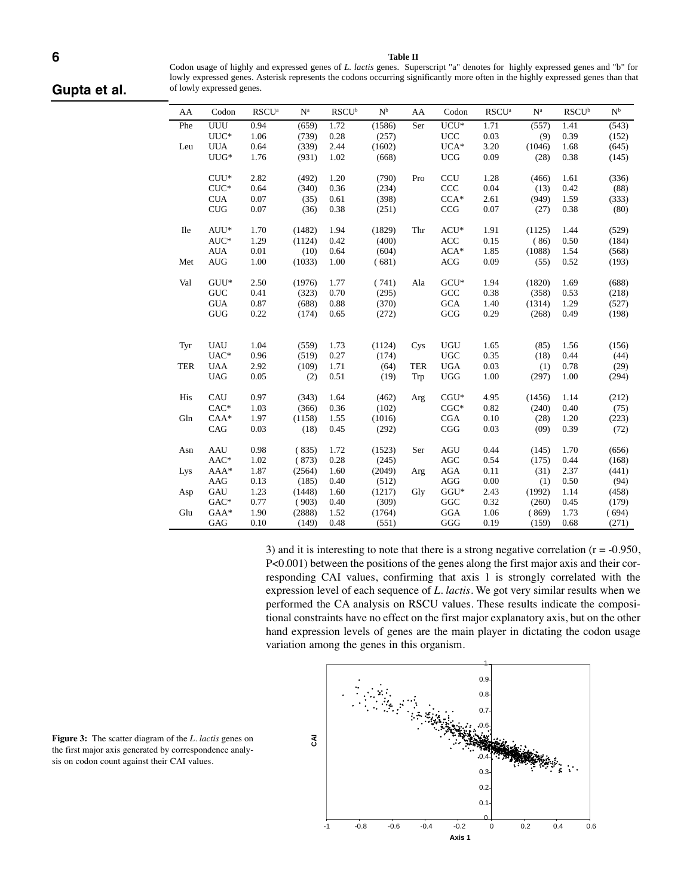#### **Table II**

Codon usage of highly and expressed genes of *L. lactis* genes. Superscript "a" denotes for highly expressed genes and "b" for lowly expressed genes. Asterisk represents the codons occurring significantly more often in the highly expressed genes than that of lowly expressed genes.

*Gupta et al.*

| AA         | Codon      | RSCU <sup>a</sup> | $\mathbf{N}^{\text{a}}$ | $\mathbf{R}\mathbf{S}\mathbf{C}\mathbf{U}^{\rm b}$ | $\mathbf{N}^{\text{b}}$ | AA         | Codon      | RSCU <sup>a</sup> | $N^a$  | $\mathbf{R}\mathbf{S}\mathbf{C}\mathbf{U}^{\mathsf{b}}$ | $\mathbf{N}^{\text{b}}$ |
|------------|------------|-------------------|-------------------------|----------------------------------------------------|-------------------------|------------|------------|-------------------|--------|---------------------------------------------------------|-------------------------|
| Phe        | UUU        | 0.94              | (659)                   | 1.72                                               | (1586)                  | Ser        | $UCU^*$    | 1.71              | (557)  | 1.41                                                    | (543)                   |
|            | $UUC*$     | 1.06              | (739)                   | 0.28                                               | (257)                   |            | <b>UCC</b> | 0.03              | (9)    | 0.39                                                    | (152)                   |
| Leu        | <b>UUA</b> | 0.64              | (339)                   | 2.44                                               | (1602)                  |            | $UCA*$     | 3.20              | (1046) | 1.68                                                    | (645)                   |
|            | $UUG*$     | 1.76              | (931)                   | 1.02                                               | (668)                   |            | <b>UCG</b> | 0.09              | (28)   | 0.38                                                    | (145)                   |
|            |            |                   |                         |                                                    |                         |            |            |                   |        |                                                         |                         |
|            | $CUU*$     | 2.82              | (492)                   | 1.20                                               | (790)                   | Pro        | <b>CCU</b> | 1.28              | (466)  | 1.61                                                    | (336)                   |
|            | $CUC^*$    | 0.64              | (340)                   | 0.36                                               | (234)                   |            | CCC        | 0.04              | (13)   | 0.42                                                    | (88)                    |
|            | <b>CUA</b> | 0.07              | (35)                    | 0.61                                               | (398)                   |            | $CCA*$     | 2.61              | (949)  | 1.59                                                    | (333)                   |
|            | <b>CUG</b> | 0.07              | (36)                    | 0.38                                               | (251)                   |            | CCG        | 0.07              | (27)   | 0.38                                                    | (80)                    |
| <b>Ile</b> | AUU*       | 1.70              | (1482)                  | 1.94                                               | (1829)                  | Thr        | $ACU^*$    | 1.91              | (1125) | 1.44                                                    | (529)                   |
|            | $AUC^*$    | 1.29              | (1124)                  | 0.42                                               | (400)                   |            | <b>ACC</b> | 0.15              | (86)   | 0.50                                                    | (184)                   |
|            | <b>AUA</b> | 0.01              | (10)                    | 0.64                                               | (604)                   |            | $ACA*$     | 1.85              | (1088) | 1.54                                                    | (568)                   |
| Met        | <b>AUG</b> | 1.00              | (1033)                  | 1.00                                               | (681)                   |            | ACG        | 0.09              | (55)   | 0.52                                                    | (193)                   |
|            |            |                   |                         |                                                    |                         |            |            |                   |        |                                                         |                         |
| Val        | $GUU^*$    | 2.50              | (1976)                  | 1.77                                               | (741)                   | Ala        | $GCU*$     | 1.94              | (1820) | 1.69                                                    | (688)                   |
|            | <b>GUC</b> | 0.41              | (323)                   | 0.70                                               | (295)                   |            | GCC        | 0.38              | (358)  | 0.53                                                    | (218)                   |
|            | <b>GUA</b> | 0.87              | (688)                   | 0.88                                               | (370)                   |            | <b>GCA</b> | 1.40              | (1314) | 1.29                                                    | (527)                   |
|            | $\rm GUG$  | 0.22              | (174)                   | 0.65                                               | (272)                   |            | GCG        | 0.29              | (268)  | 0.49                                                    | (198)                   |
|            |            |                   |                         |                                                    |                         |            |            |                   |        |                                                         |                         |
|            |            |                   |                         |                                                    |                         |            |            |                   |        |                                                         |                         |
| Tyr        | <b>UAU</b> | 1.04              | (559)                   | 1.73                                               | (1124)                  | Cys        | <b>UGU</b> | 1.65              | (85)   | 1.56                                                    | (156)                   |
|            | UAC*       | 0.96              | (519)                   | 0.27                                               | (174)                   |            | <b>UGC</b> | 0.35              | (18)   | 0.44                                                    | (44)                    |
| <b>TER</b> | <b>UAA</b> | 2.92              | (109)                   | 1.71                                               | (64)                    | <b>TER</b> | <b>UGA</b> | 0.03              | (1)    | 0.78                                                    | (29)                    |
|            | <b>UAG</b> | 0.05              | (2)                     | 0.51                                               | (19)                    | Trp        | <b>UGG</b> | 1.00              | (297)  | 1.00                                                    | (294)                   |
| His        | CAU        | 0.97              | (343)                   | 1.64                                               | (462)                   | Arg        | $CGU*$     | 4.95              | (1456) | 1.14                                                    | (212)                   |
|            | $CAC*$     | 1.03              | (366)                   | 0.36                                               | (102)                   |            | $CGC*$     | 0.82              | (240)  | 0.40                                                    | (75)                    |
| Gln        | $CAA*$     | 1.97              | (1158)                  | 1.55                                               | (1016)                  |            | CGA        | 0.10              | (28)   | 1.20                                                    | (223)                   |
|            | CAG        | 0.03              | (18)                    | 0.45                                               | (292)                   |            | CGG        | 0.03              | (09)   | 0.39                                                    | (72)                    |
|            |            |                   |                         |                                                    |                         |            |            |                   |        |                                                         |                         |
| Asn        | AAU        | 0.98              | (835)                   | 1.72                                               | (1523)                  | Ser        | <b>AGU</b> | 0.44              | (145)  | 1.70                                                    | (656)                   |
|            | AAC*       | 1.02              | (873)                   | 0.28                                               | (245)                   |            | AGC        | 0.54              | (175)  | 0.44                                                    | (168)                   |
| Lys        | AAA*       | 1.87              | (2564)                  | 1.60                                               | (2049)                  | Arg        | <b>AGA</b> | 0.11              | (31)   | 2.37                                                    | (441)                   |
|            | AAG        | 0.13              | (185)                   | 0.40                                               | (512)                   |            | <b>AGG</b> | 0.00              | (1)    | 0.50                                                    | (94)                    |
| Asp        | GAU        | 1.23              | (1448)                  | 1.60                                               | (1217)                  | Gly        | $GGU*$     | 2.43              | (1992) | 1.14                                                    | (458)                   |
|            | $GAC*$     | 0.77              | (903)                   | 0.40                                               | (309)                   |            | GGC        | 0.32              | (260)  | 0.45                                                    | (179)                   |
| Glu        | GAA*       | 1.90              | (2888)                  | 1.52                                               | (1764)                  |            | <b>GGA</b> | 1.06              | (869)  | 1.73                                                    | (694)                   |
|            | GAG        | 0.10              | (149)                   | 0.48                                               | (551)                   |            | GGG        | 0.19              | (159)  | 0.68                                                    | (271)                   |

3) and it is interesting to note that there is a strong negative correlation  $(r = -0.950)$ , P<0.001) between the positions of the genes along the first major axis and their corresponding CAI values, confirming that axis 1 is strongly correlated with the expression level of each sequence of *L. lactis*. We got very similar results when we performed the CA analysis on RSCU values. These results indicate the compositional constraints have no effect on the first major explanatory axis, but on the other hand expression levels of genes are the main player in dictating the codon usage variation among the genes in this organism.



**Figure 3:** The scatter diagram of the *L. lactis* genes on the first major axis generated by correspondence analysis on codon count against their CAI values.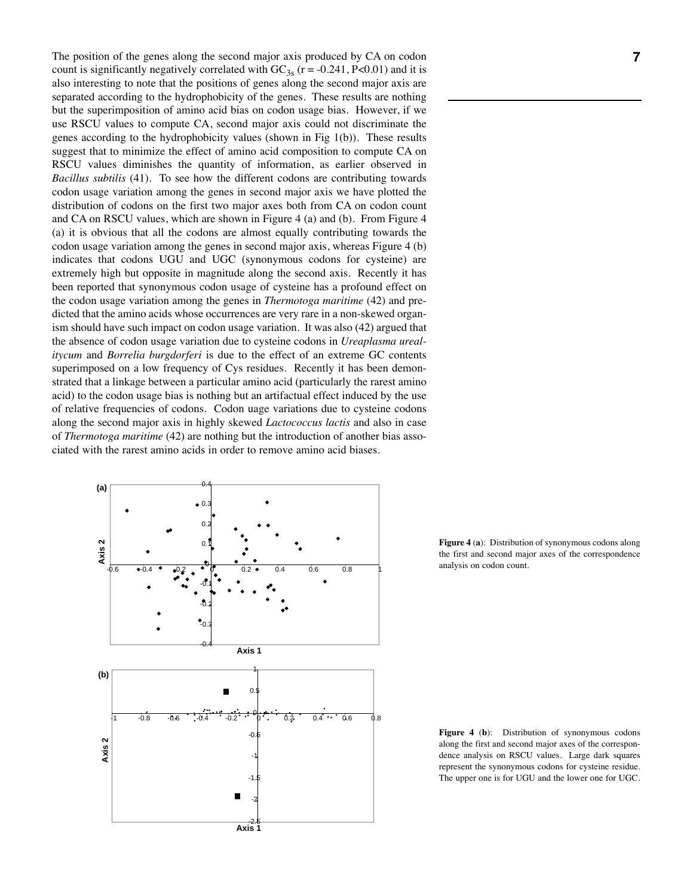The position of the genes along the second major axis produced by CA on codon count is significantly negatively correlated with  $GC_{3s}$  (r = -0.241, P<0.01) and it is also interesting to note that the positions of genes along the second major axis are separated according to the hydrophobicity of the genes. These results are nothing but the superimposition of amino acid bias on codon usage bias. However, if we use RSCU values to compute CA, second major axis could not discriminate the genes according to the hydrophobicity values (shown in Fig 1(b)). These results suggest that to minimize the effect of amino acid composition to compute CA on RSCU values diminishes the quantity of information, as earlier observed in *Bacillus subtilis* (41). To see how the different codons are contributing towards codon usage variation among the genes in second major axis we have plotted the distribution of codons on the first two major axes both from CA on codon count and CA on RSCU values, which are shown in Figure 4 (a) and (b). From Figure 4 (a) it is obvious that all the codons are almost equally contributing towards the codon usage variation among the genes in second major axis, whereas Figure 4 (b) indicates that codons UGU and UGC (synonymous codons for cysteine) are extremely high but opposite in magnitude along the second axis. Recently it has been reported that synonymous codon usage of cysteine has a profound effect on the codon usage variation among the genes in *Thermotoga maritime* (42) and predicted that the amino acids whose occurrences are very rare in a non-skewed organism should have such impact on codon usage variation. It was also (42) argued that the absence of codon usage variation due to cysteine codons in *Ureaplasma urealitycum* and *Borrelia burgdorferi* is due to the effect of an extreme GC contents superimposed on a low frequency of Cys residues. Recently it has been demonstrated that a linkage between a particular amino acid (particularly the rarest amino acid) to the codon usage bias is nothing but an artifactual effect induced by the use of relative frequencies of codons. Codon uage variations due to cysteine codons along the second major axis in highly skewed *Lactococcus lactis* and also in case of *Thermotoga maritime* (42) are nothing but the introduction of another bias associated with the rarest amino acids in order to remove amino acid biases.



**Figure 4** (**a**): Distribution of synonymous codons along the first and second major axes of the correspondence analysis on codon count.

**Figure 4** (**b**): Distribution of synonymous codons along the first and second major axes of the correspondence analysis on RSCU values. Large dark squares represent the synonymous codons for cysteine residue. The upper one is for UGU and the lower one for UGC.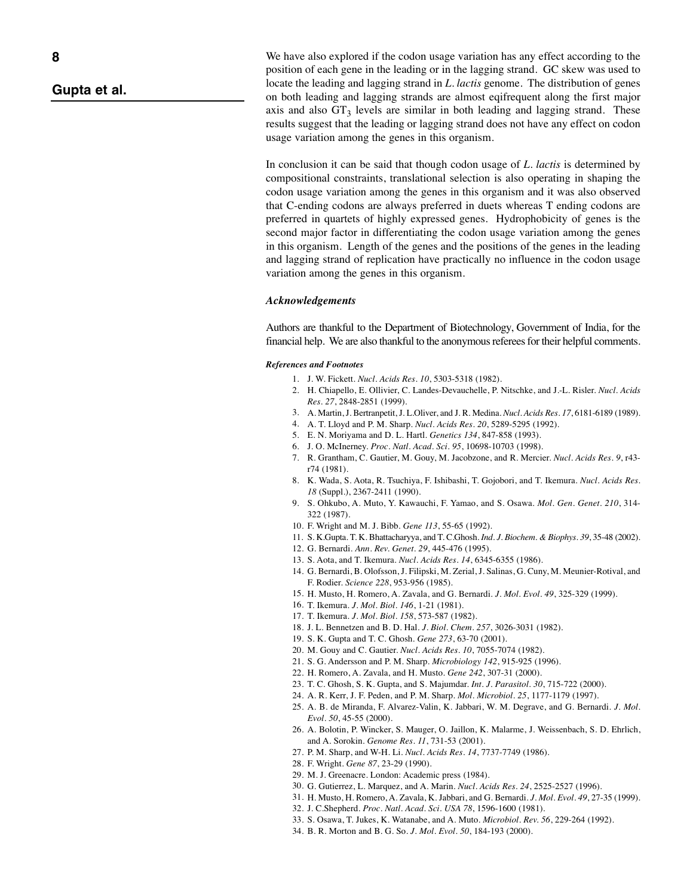# *Gupta et al.*

We have also explored if the codon usage variation has any effect according to the position of each gene in the leading or in the lagging strand. GC skew was used to locate the leading and lagging strand in *L. lactis* genome. The distribution of genes on both leading and lagging strands are almost eqifrequent along the first major axis and also  $GT_3$  levels are similar in both leading and lagging strand. These results suggest that the leading or lagging strand does not have any effect on codon usage variation among the genes in this organism.

In conclusion it can be said that though codon usage of *L. lactis* is determined by compositional constraints, translational selection is also operating in shaping the codon usage variation among the genes in this organism and it was also observed that C-ending codons are always preferred in duets whereas T ending codons are preferred in quartets of highly expressed genes. Hydrophobicity of genes is the second major factor in differentiating the codon usage variation among the genes in this organism. Length of the genes and the positions of the genes in the leading and lagging strand of replication have practically no influence in the codon usage variation among the genes in this organism.

### *Acknowledgements*

Authors are thankful to the Department of Biotechnology, Government of India, for the financial help. We are also thankful to the anonymous referees for their helpful comments.

#### *References and Footnotes*

- 1. J. W. Fickett. *Nucl. Acids Res. 10*, 5303-5318 (1982).
- 2. H. Chiapello, E. Ollivier, C. Landes-Devauchelle, P. Nitschke, and J.-L. Risler. *Nucl. Acids Res. 27*, 2848-2851 (1999).
- 3. A. Martin, J. Bertranpetit, J. L.Oliver, and J. R. Medina. *Nucl. Acids Res. 17*, 6181-6189 (1989).
- 4. A. T. Lloyd and P. M. Sharp. *Nucl. Acids Res. 20*, 5289-5295 (1992).
- 5. E. N. Moriyama and D. L. Hartl. *Genetics 134*, 847-858 (1993).
- 6. J. O. McInerney. *Proc. Natl. Acad. Sci. 95*, 10698-10703 (1998).
- 7. R. Grantham, C. Gautier, M. Gouy, M. Jacobzone, and R. Mercier. *Nucl. Acids Res. 9*, r43 r74 (1981).
- 8. K. Wada, S. Aota, R. Tsuchiya, F. Ishibashi, T. Gojobori, and T. Ikemura. *Nucl. Acids Res. 18* (Suppl.), 2367-2411 (1990).
- 9. S. Ohkubo, A. Muto, Y. Kawauchi, F. Yamao, and S. Osawa. *Mol. Gen. Genet. 210*, 314- 322 (1987).
- 10. F. Wright and M. J. Bibb. *Gene 113*, 55-65 (1992).
- 11. S. K.Gupta. T. K. Bhattacharyya, and T. C.Ghosh. *Ind. J. Biochem. & Biophys. 39*, 35-48 (2002).
- 12. G. Bernardi. *Ann. Rev. Genet. 29*, 445-476 (1995).
- 13. S. Aota, and T. Ikemura. *Nucl. Acids Res. 14*, 6345-6355 (1986).
- 14. G. Bernardi, B. Olofsson, J. Filipski, M. Zerial, J. Salinas, G. Cuny, M. Meunier-Rotival, and F. Rodier. *Science 228*, 953-956 (1985).
- 15. H. Musto, H. Romero, A. Zavala, and G. Bernardi. *J. Mol. Evol. 49*, 325-329 (1999).
- 16. T. Ikemura. *J. Mol. Biol. 146*, 1-21 (1981).
- 17. T. Ikemura. *J. Mol. Biol. 158*, 573-587 (1982).
- 18. J. L. Bennetzen and B. D. Hal. *J. Biol. Chem. 257*, 3026-3031 (1982).
- 19. S. K. Gupta and T. C. Ghosh. *Gene 273*, 63-70 (2001).
- 20. M. Gouy and C. Gautier. *Nucl. Acids Res. 10*, 7055-7074 (1982).
- 21. S. G. Andersson and P. M. Sharp. *Microbiology 142*, 915-925 (1996).
- 22. H. Romero, A. Zavala, and H. Musto. *Gene 242*, 307-31 (2000).
- 23. T. C. Ghosh, S. K. Gupta, and S. Majumdar. *Int. J. Parasitol. 30*, 715-722 (2000).
- 24. A. R. Kerr, J. F. Peden, and P. M. Sharp. *Mol. Microbiol. 25*, 1177-1179 (1997).
- 25. A. B. de Miranda, F. Alvarez-Valin, K. Jabbari, W. M. Degrave, and G. Bernardi. *J. Mol. Evol. 50*, 45-55 (2000).
- 26. A. Bolotin, P. Wincker, S. Mauger, O. Jaillon, K. Malarme, J. Weissenbach, S. D. Ehrlich, and A. Sorokin. *Genome Res. 11*, 731-53 (2001).
- 27. P. M. Sharp, and W-H. Li. *Nucl. Acids Res. 14*, 7737-7749 (1986).
- 28. F. Wright. *Gene 87*, 23-29 (1990).
- 29. M. J. Greenacre. London: Academic press (1984).
- 30. G. Gutierrez, L. Marquez, and A. Marin. *Nucl. Acids Res. 24*, 2525-2527 (1996).
- 31. H. Musto, H. Romero, A. Zavala, K. Jabbari, and G. Bernardi. *J. Mol. Evol. 49*, 27-35 (1999).
- 32. J. C.Shepherd. *Proc. Natl. Acad. Sci. USA 78*, 1596-1600 (1981).
- 33. S. Osawa, T. Jukes, K. Watanabe, and A. Muto. *Microbiol. Rev. 56*, 229-264 (1992).
- 34. B. R. Morton and B. G. So. *J. Mol. Evol. 50*, 184-193 (2000).